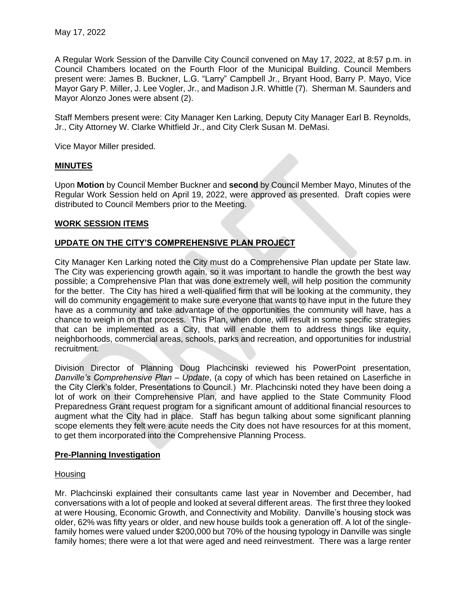A Regular Work Session of the Danville City Council convened on May 17, 2022, at 8:57 p.m. in Council Chambers located on the Fourth Floor of the Municipal Building. Council Members present were: James B. Buckner, L.G. "Larry" Campbell Jr., Bryant Hood, Barry P. Mayo, Vice Mayor Gary P. Miller, J. Lee Vogler, Jr., and Madison J.R. Whittle (7). Sherman M. Saunders and Mayor Alonzo Jones were absent (2).

Staff Members present were: City Manager Ken Larking, Deputy City Manager Earl B. Reynolds, Jr., City Attorney W. Clarke Whitfield Jr., and City Clerk Susan M. DeMasi.

Vice Mayor Miller presided.

## **MINUTES**

Upon **Motion** by Council Member Buckner and **second** by Council Member Mayo, Minutes of the Regular Work Session held on April 19, 2022, were approved as presented. Draft copies were distributed to Council Members prior to the Meeting.

### **WORK SESSION ITEMS**

## **UPDATE ON THE CITY'S COMPREHENSIVE PLAN PROJECT**

City Manager Ken Larking noted the City must do a Comprehensive Plan update per State law. The City was experiencing growth again, so it was important to handle the growth the best way possible; a Comprehensive Plan that was done extremely well, will help position the community for the better. The City has hired a well-qualified firm that will be looking at the community, they will do community engagement to make sure everyone that wants to have input in the future they have as a community and take advantage of the opportunities the community will have, has a chance to weigh in on that process. This Plan, when done, will result in some specific strategies that can be implemented as a City, that will enable them to address things like equity, neighborhoods, commercial areas, schools, parks and recreation, and opportunities for industrial recruitment.

Division Director of Planning Doug Plachcinski reviewed his PowerPoint presentation, *Danville's Comprehensive Plan – Update*, (a copy of which has been retained on Laserfiche in the City Clerk's folder, Presentations to Council.) Mr. Plachcinski noted they have been doing a lot of work on their Comprehensive Plan, and have applied to the State Community Flood Preparedness Grant request program for a significant amount of additional financial resources to augment what the City had in place. Staff has begun talking about some significant planning scope elements they felt were acute needs the City does not have resources for at this moment, to get them incorporated into the Comprehensive Planning Process.

## **Pre-Planning Investigation**

#### Housing

Mr. Plachcinski explained their consultants came last year in November and December, had conversations with a lot of people and looked at several different areas. The first three they looked at were Housing, Economic Growth, and Connectivity and Mobility. Danville's housing stock was older, 62% was fifty years or older, and new house builds took a generation off. A lot of the singlefamily homes were valued under \$200,000 but 70% of the housing typology in Danville was single family homes; there were a lot that were aged and need reinvestment. There was a large renter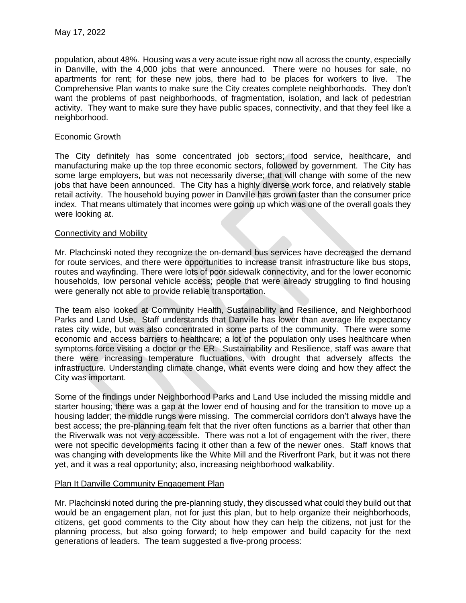population, about 48%. Housing was a very acute issue right now all across the county, especially in Danville, with the 4,000 jobs that were announced. There were no houses for sale, no apartments for rent; for these new jobs, there had to be places for workers to live. The Comprehensive Plan wants to make sure the City creates complete neighborhoods. They don't want the problems of past neighborhoods, of fragmentation, isolation, and lack of pedestrian activity. They want to make sure they have public spaces, connectivity, and that they feel like a neighborhood.

### Economic Growth

The City definitely has some concentrated job sectors; food service, healthcare, and manufacturing make up the top three economic sectors, followed by government. The City has some large employers, but was not necessarily diverse; that will change with some of the new jobs that have been announced. The City has a highly diverse work force, and relatively stable retail activity. The household buying power in Danville has grown faster than the consumer price index. That means ultimately that incomes were going up which was one of the overall goals they were looking at.

### Connectivity and Mobility

Mr. Plachcinski noted they recognize the on-demand bus services have decreased the demand for route services, and there were opportunities to increase transit infrastructure like bus stops, routes and wayfinding. There were lots of poor sidewalk connectivity, and for the lower economic households, low personal vehicle access; people that were already struggling to find housing were generally not able to provide reliable transportation.

The team also looked at Community Health, Sustainability and Resilience, and Neighborhood Parks and Land Use. Staff understands that Danville has lower than average life expectancy rates city wide, but was also concentrated in some parts of the community. There were some economic and access barriers to healthcare; a lot of the population only uses healthcare when symptoms force visiting a doctor or the ER. Sustainability and Resilience, staff was aware that there were increasing temperature fluctuations, with drought that adversely affects the infrastructure. Understanding climate change, what events were doing and how they affect the City was important.

Some of the findings under Neighborhood Parks and Land Use included the missing middle and starter housing; there was a gap at the lower end of housing and for the transition to move up a housing ladder; the middle rungs were missing. The commercial corridors don't always have the best access; the pre-planning team felt that the river often functions as a barrier that other than the Riverwalk was not very accessible. There was not a lot of engagement with the river, there were not specific developments facing it other than a few of the newer ones. Staff knows that was changing with developments like the White Mill and the Riverfront Park, but it was not there yet, and it was a real opportunity; also, increasing neighborhood walkability.

#### Plan It Danville Community Engagement Plan

Mr. Plachcinski noted during the pre-planning study, they discussed what could they build out that would be an engagement plan, not for just this plan, but to help organize their neighborhoods, citizens, get good comments to the City about how they can help the citizens, not just for the planning process, but also going forward; to help empower and build capacity for the next generations of leaders. The team suggested a five-prong process: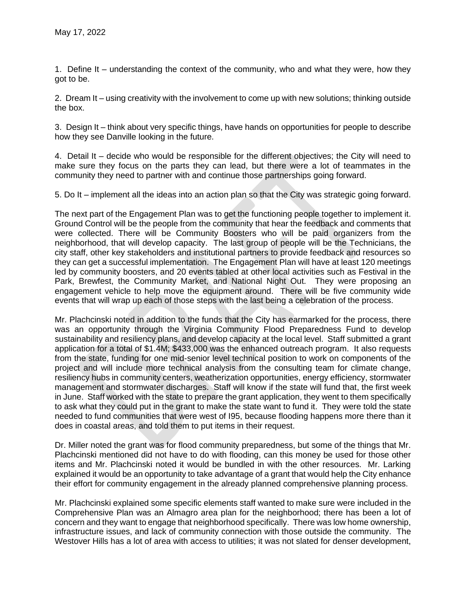1. Define It – understanding the context of the community, who and what they were, how they got to be.

2. Dream It – using creativity with the involvement to come up with new solutions; thinking outside the box.

3. Design It – think about very specific things, have hands on opportunities for people to describe how they see Danville looking in the future.

4. Detail It – decide who would be responsible for the different objectives; the City will need to make sure they focus on the parts they can lead, but there were a lot of teammates in the community they need to partner with and continue those partnerships going forward.

5. Do It – implement all the ideas into an action plan so that the City was strategic going forward.

The next part of the Engagement Plan was to get the functioning people together to implement it. Ground Control will be the people from the community that hear the feedback and comments that were collected. There will be Community Boosters who will be paid organizers from the neighborhood, that will develop capacity. The last group of people will be the Technicians, the city staff, other key stakeholders and institutional partners to provide feedback and resources so they can get a successful implementation. The Engagement Plan will have at least 120 meetings led by community boosters, and 20 events tabled at other local activities such as Festival in the Park, Brewfest, the Community Market, and National Night Out. They were proposing an engagement vehicle to help move the equipment around. There will be five community wide events that will wrap up each of those steps with the last being a celebration of the process.

Mr. Plachcinski noted in addition to the funds that the City has earmarked for the process, there was an opportunity through the Virginia Community Flood Preparedness Fund to develop sustainability and resiliency plans, and develop capacity at the local level. Staff submitted a grant application for a total of \$1.4M; \$433,000 was the enhanced outreach program. It also requests from the state, funding for one mid-senior level technical position to work on components of the project and will include more technical analysis from the consulting team for climate change, resiliency hubs in community centers, weatherization opportunities, energy efficiency, stormwater management and stormwater discharges. Staff will know if the state will fund that, the first week in June. Staff worked with the state to prepare the grant application, they went to them specifically to ask what they could put in the grant to make the state want to fund it. They were told the state needed to fund communities that were west of I95, because flooding happens more there than it does in coastal areas, and told them to put items in their request.

Dr. Miller noted the grant was for flood community preparedness, but some of the things that Mr. Plachcinski mentioned did not have to do with flooding, can this money be used for those other items and Mr. Plachcinski noted it would be bundled in with the other resources. Mr. Larking explained it would be an opportunity to take advantage of a grant that would help the City enhance their effort for community engagement in the already planned comprehensive planning process.

Mr. Plachcinski explained some specific elements staff wanted to make sure were included in the Comprehensive Plan was an Almagro area plan for the neighborhood; there has been a lot of concern and they want to engage that neighborhood specifically. There was low home ownership, infrastructure issues, and lack of community connection with those outside the community. The Westover Hills has a lot of area with access to utilities; it was not slated for denser development,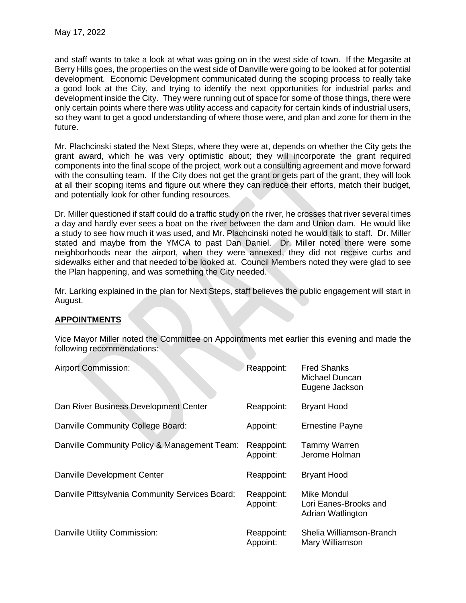and staff wants to take a look at what was going on in the west side of town. If the Megasite at Berry Hills goes, the properties on the west side of Danville were going to be looked at for potential development. Economic Development communicated during the scoping process to really take a good look at the City, and trying to identify the next opportunities for industrial parks and development inside the City. They were running out of space for some of those things, there were only certain points where there was utility access and capacity for certain kinds of industrial users, so they want to get a good understanding of where those were, and plan and zone for them in the future.

Mr. Plachcinski stated the Next Steps, where they were at, depends on whether the City gets the grant award, which he was very optimistic about; they will incorporate the grant required components into the final scope of the project, work out a consulting agreement and move forward with the consulting team. If the City does not get the grant or gets part of the grant, they will look at all their scoping items and figure out where they can reduce their efforts, match their budget, and potentially look for other funding resources.

Dr. Miller questioned if staff could do a traffic study on the river, he crosses that river several times a day and hardly ever sees a boat on the river between the dam and Union dam. He would like a study to see how much it was used, and Mr. Plachcinski noted he would talk to staff. Dr. Miller stated and maybe from the YMCA to past Dan Daniel. Dr. Miller noted there were some neighborhoods near the airport, when they were annexed, they did not receive curbs and sidewalks either and that needed to be looked at. Council Members noted they were glad to see the Plan happening, and was something the City needed.

Mr. Larking explained in the plan for Next Steps, staff believes the public engagement will start in August.

# **APPOINTMENTS**

Vice Mayor Miller noted the Committee on Appointments met earlier this evening and made the following recommendations:

| <b>Airport Commission:</b>                      | Reappoint:             | <b>Fred Shanks</b><br>Michael Duncan<br>Eugene Jackson    |
|-------------------------------------------------|------------------------|-----------------------------------------------------------|
| Dan River Business Development Center           | Reappoint:             | <b>Bryant Hood</b>                                        |
| Danville Community College Board:               | Appoint:               | <b>Ernestine Payne</b>                                    |
| Danville Community Policy & Management Team:    | Reappoint:<br>Appoint: | <b>Tammy Warren</b><br>Jerome Holman                      |
| Danville Development Center                     | Reappoint:             | <b>Bryant Hood</b>                                        |
| Danville Pittsylvania Community Services Board: | Reappoint:<br>Appoint: | Mike Mondul<br>Lori Eanes-Brooks and<br>Adrian Watlington |
| Danville Utility Commission:                    | Reappoint:<br>Appoint: | Shelia Williamson-Branch<br>Mary Williamson               |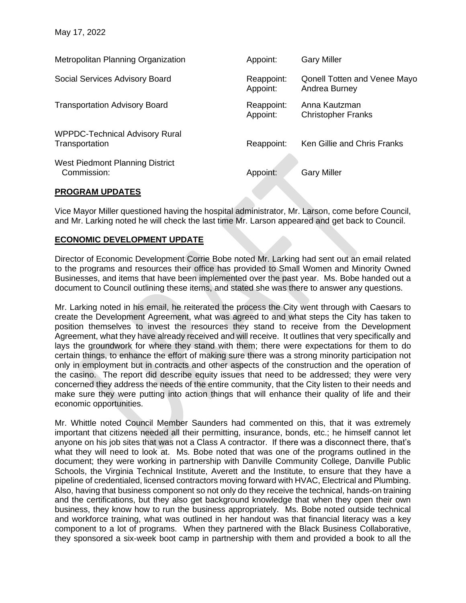| Metropolitan Planning Organization                      | Appoint:               | <b>Gary Miller</b>                                   |
|---------------------------------------------------------|------------------------|------------------------------------------------------|
| Social Services Advisory Board                          | Reappoint:<br>Appoint: | <b>Qonell Totten and Venee Mayo</b><br>Andrea Burney |
| <b>Transportation Advisory Board</b>                    | Reappoint:<br>Appoint: | Anna Kautzman<br><b>Christopher Franks</b>           |
| <b>WPPDC-Technical Advisory Rural</b><br>Transportation | Reappoint:             | Ken Gillie and Chris Franks                          |
| West Piedmont Planning District<br>Commission:          | Appoint:               | <b>Gary Miller</b>                                   |

## **PROGRAM UPDATES**

Vice Mayor Miller questioned having the hospital administrator, Mr. Larson, come before Council, and Mr. Larking noted he will check the last time Mr. Larson appeared and get back to Council.

### **ECONOMIC DEVELOPMENT UPDATE**

Director of Economic Development Corrie Bobe noted Mr. Larking had sent out an email related to the programs and resources their office has provided to Small Women and Minority Owned Businesses, and items that have been implemented over the past year. Ms. Bobe handed out a document to Council outlining these items, and stated she was there to answer any questions.

Mr. Larking noted in his email, he reiterated the process the City went through with Caesars to create the Development Agreement, what was agreed to and what steps the City has taken to position themselves to invest the resources they stand to receive from the Development Agreement, what they have already received and will receive. It outlines that very specifically and lays the groundwork for where they stand with them; there were expectations for them to do certain things, to enhance the effort of making sure there was a strong minority participation not only in employment but in contracts and other aspects of the construction and the operation of the casino. The report did describe equity issues that need to be addressed; they were very concerned they address the needs of the entire community, that the City listen to their needs and make sure they were putting into action things that will enhance their quality of life and their economic opportunities.

Mr. Whittle noted Council Member Saunders had commented on this, that it was extremely important that citizens needed all their permitting, insurance, bonds, etc.; he himself cannot let anyone on his job sites that was not a Class A contractor. If there was a disconnect there, that's what they will need to look at. Ms. Bobe noted that was one of the programs outlined in the document; they were working in partnership with Danville Community College, Danville Public Schools, the Virginia Technical Institute, Averett and the Institute, to ensure that they have a pipeline of credentialed, licensed contractors moving forward with HVAC, Electrical and Plumbing. Also, having that business component so not only do they receive the technical, hands-on training and the certifications, but they also get background knowledge that when they open their own business, they know how to run the business appropriately. Ms. Bobe noted outside technical and workforce training, what was outlined in her handout was that financial literacy was a key component to a lot of programs. When they partnered with the Black Business Collaborative, they sponsored a six-week boot camp in partnership with them and provided a book to all the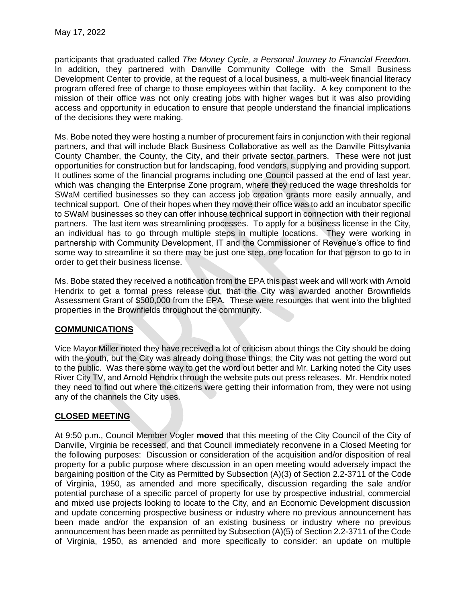participants that graduated called *The Money Cycle, a Personal Journey to Financial Freedom*. In addition, they partnered with Danville Community College with the Small Business Development Center to provide, at the request of a local business, a multi-week financial literacy program offered free of charge to those employees within that facility. A key component to the mission of their office was not only creating jobs with higher wages but it was also providing access and opportunity in education to ensure that people understand the financial implications of the decisions they were making.

Ms. Bobe noted they were hosting a number of procurement fairs in conjunction with their regional partners, and that will include Black Business Collaborative as well as the Danville Pittsylvania County Chamber, the County, the City, and their private sector partners. These were not just opportunities for construction but for landscaping, food vendors, supplying and providing support. It outlines some of the financial programs including one Council passed at the end of last year, which was changing the Enterprise Zone program, where they reduced the wage thresholds for SWaM certified businesses so they can access job creation grants more easily annually, and technical support. One of their hopes when they move their office was to add an incubator specific to SWaM businesses so they can offer inhouse technical support in connection with their regional partners. The last item was streamlining processes. To apply for a business license in the City, an individual has to go through multiple steps in multiple locations. They were working in partnership with Community Development, IT and the Commissioner of Revenue's office to find some way to streamline it so there may be just one step, one location for that person to go to in order to get their business license.

Ms. Bobe stated they received a notification from the EPA this past week and will work with Arnold Hendrix to get a formal press release out, that the City was awarded another Brownfields Assessment Grant of \$500,000 from the EPA. These were resources that went into the blighted properties in the Brownfields throughout the community.

# **COMMUNICATIONS**

Vice Mayor Miller noted they have received a lot of criticism about things the City should be doing with the youth, but the City was already doing those things; the City was not getting the word out to the public. Was there some way to get the word out better and Mr. Larking noted the City uses River City TV, and Arnold Hendrix through the website puts out press releases. Mr. Hendrix noted they need to find out where the citizens were getting their information from, they were not using any of the channels the City uses.

# **CLOSED MEETING**

At 9:50 p.m., Council Member Vogler **moved** that this meeting of the City Council of the City of Danville, Virginia be recessed, and that Council immediately reconvene in a Closed Meeting for the following purposes: Discussion or consideration of the acquisition and/or disposition of real property for a public purpose where discussion in an open meeting would adversely impact the bargaining position of the City as Permitted by Subsection (A)(3) of Section 2.2-3711 of the Code of Virginia, 1950, as amended and more specifically, discussion regarding the sale and/or potential purchase of a specific parcel of property for use by prospective industrial, commercial and mixed use projects looking to locate to the City, and an Economic Development discussion and update concerning prospective business or industry where no previous announcement has been made and/or the expansion of an existing business or industry where no previous announcement has been made as permitted by Subsection (A)(5) of Section 2.2-3711 of the Code of Virginia, 1950, as amended and more specifically to consider: an update on multiple